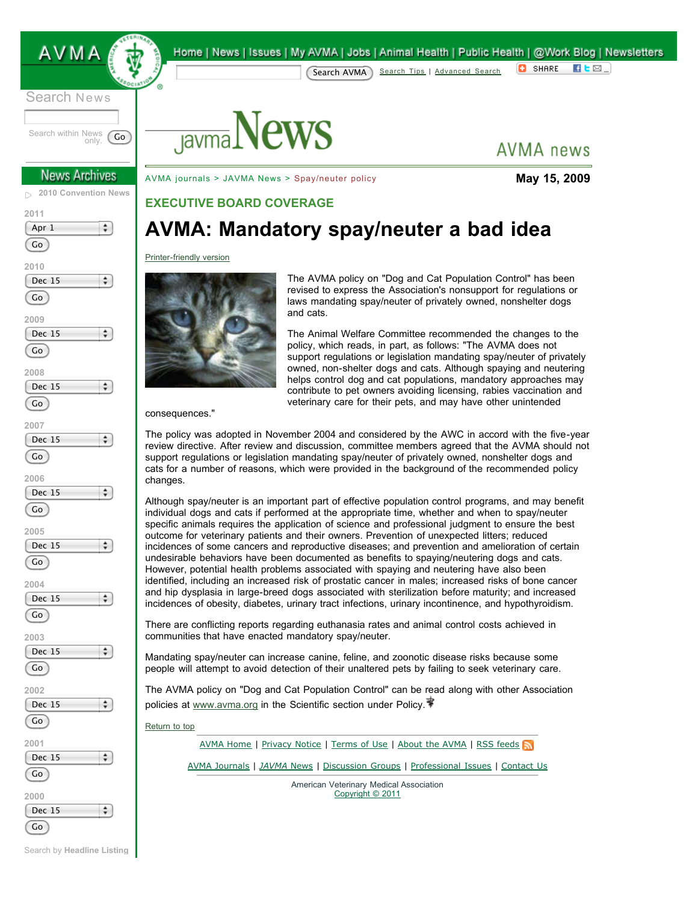

Search News

Search within News<br>only. only. Go

### **News Archives**

**[2010 Convention News](http://www.avma.org/convention/news/default.asp)** D.









÷



Home | News | Issues | My AVMA | Jobs | Animal Health | Public Health | @Work Blog | Newsletters **C** SHARE  $H$ <sub>L</sub> $\boxtimes$ <sub>.</sub> Search AVMA [Search Tips](http://search.avma.org/basics.html) | [Advanced Search](http://search.avma.org/search?access=p&client=avma_index&proxystylesheet=avma_index&output=xml_no_dtd&site=avma_index&restrict=sitewide&btnG=AVMA+Test+Search&q=pet&ip=192.168.100.72&proxycustom=%3CADVANCED/%3E)



**AVMA** news

[AVMA journals](http://avmajournals.avma.org/) > [JAVMA News](http://www.avma.org/onlnews/default.asp) > Spay/neuter policy **May 15, 2009**

## **EXECUTIVE BOARD COVERAGE**

# **AVMA: Mandatory spay/neuter a bad idea**

#### [Printer-friendly version](http://www.avma.org/onlnews/javma/may09/090515j_pf.asp)



The AVMA policy on "Dog and Cat Population Control" has been revised to express the Association's nonsupport for regulations or laws mandating spay/neuter of privately owned, nonshelter dogs and cats.

The Animal Welfare Committee recommended the changes to the policy, which reads, in part, as follows: "The AVMA does not support regulations or legislation mandating spay/neuter of privately owned, non-shelter dogs and cats. Although spaying and neutering helps control dog and cat populations, mandatory approaches may contribute to pet owners avoiding licensing, rabies vaccination and veterinary care for their pets, and may have other unintended

consequences."

The policy was adopted in November 2004 and considered by the AWC in accord with the five-year review directive. After review and discussion, committee members agreed that the AVMA should not support regulations or legislation mandating spay/neuter of privately owned, nonshelter dogs and cats for a number of reasons, which were provided in the background of the recommended policy changes.

Although spay/neuter is an important part of effective population control programs, and may benefit individual dogs and cats if performed at the appropriate time, whether and when to spay/neuter specific animals requires the application of science and professional judgment to ensure the best outcome for veterinary patients and their owners. Prevention of unexpected litters; reduced incidences of some cancers and reproductive diseases; and prevention and amelioration of certain undesirable behaviors have been documented as benefits to spaying/neutering dogs and cats. However, potential health problems associated with spaying and neutering have also been identified, including an increased risk of prostatic cancer in males; increased risks of bone cancer and hip dysplasia in large-breed dogs associated with sterilization before maturity; and increased incidences of obesity, diabetes, urinary tract infections, urinary incontinence, and hypothyroidism.

There are conflicting reports regarding euthanasia rates and animal control costs achieved in communities that have enacted mandatory spay/neuter.

Mandating spay/neuter can increase canine, feline, and zoonotic disease risks because some people will attempt to avoid detection of their unaltered pets by failing to seek veterinary care.

The AVMA policy on "Dog and Cat Population Control" can be read along with other Association policies at [www.avma.org](http://www.avma.org/) in the Scientific section under Policy.

[Return to top](http://www.avma.org/onlnews/javma/may09/090515j.asp#top)

[AVMA Home](http://www.avma.org/) | [Privacy Notice](http://www.avma.org/termsofuse/privacy/default.asp) | [Terms of Use](http://www.avma.org/termsofuse/electronic_communication/default.asp) | [About the AVMA](http://www.avma.org/about_avma/whoweare/default.asp) | [RSS feeds](http://www.avma.org/news/info_rss.asp)

[AVMA Journals](http://avmajournals.avma.org/) | *[JAVMA](http://www.avma.org/onlnews/default.asp)* News | [Discussion Groups](http://www.avma.org/myavma/groups/default.asp) | [Professional Issues](http://www.avma.org/issues/default.asp) | [Contact Us](http://www.avma.org/contact_us.asp)

American Veterinary Medical Association [Copyright © 2011](http://www.avma.org/copyright.asp)